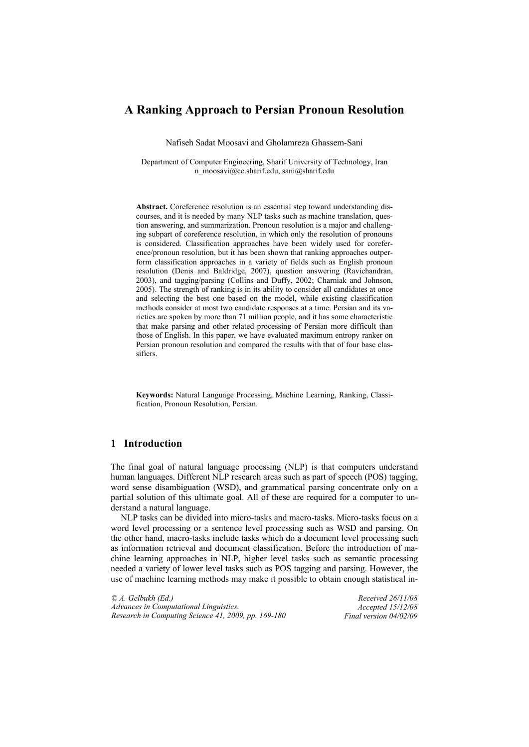# **A Ranking Approach to Persian Pronoun Resolution**

Nafiseh Sadat Moosavi and Gholamreza Ghassem-Sani

Department of Computer Engineering, Sharif University of Technology, Iran n\_moosavi@ce.sharif.edu, sani@sharif.edu

**Abstract.** Coreference resolution is an essential step toward understanding discourses, and it is needed by many NLP tasks such as machine translation, question answering, and summarization. Pronoun resolution is a major and challenging subpart of coreference resolution, in which only the resolution of pronouns is considered. Classification approaches have been widely used for coreference/pronoun resolution, but it has been shown that ranking approaches outperform classification approaches in a variety of fields such as English pronoun resolution (Denis and Baldridge, 2007), question answering (Ravichandran, 2003), and tagging/parsing (Collins and Duffy, 2002; Charniak and Johnson, 2005). The strength of ranking is in its ability to consider all candidates at once and selecting the best one based on the model, while existing classification methods consider at most two candidate responses at a time. Persian and its varieties are spoken by more than 71 million people, and it has some characteristic that make parsing and other related processing of Persian more difficult than those of English. In this paper, we have evaluated maximum entropy ranker on Persian pronoun resolution and compared the results with that of four base classifiers.

**Keywords:** Natural Language Processing, Machine Learning, Ranking, Classification, Pronoun Resolution, Persian.

# **1 Introduction**

The final goal of natural language processing (NLP) is that computers understand human languages. Different NLP research areas such as part of speech (POS) tagging, word sense disambiguation (WSD), and grammatical parsing concentrate only on a partial solution of this ultimate goal. All of these are required for a computer to understand a natural language.

NLP tasks can be divided into micro-tasks and macro-tasks. Micro-tasks focus on a word level processing or a sentence level processing such as WSD and parsing. On the other hand, macro-tasks include tasks which do a document level processing such as information retrieval and document classification. Before the introduction of machine learning approaches in NLP, higher level tasks such as semantic processing needed a variety of lower level tasks such as POS tagging and parsing. However, the use of machine learning methods may make it possible to obtain enough statistical in-

*© A. Gelbukh (Ed.) Advances in Computational Linguistics. Research in Computing Science 41, 2009, pp. 169-180*

*Received 26/11/08 Accepted 15/12/08 Final version 04/02/09*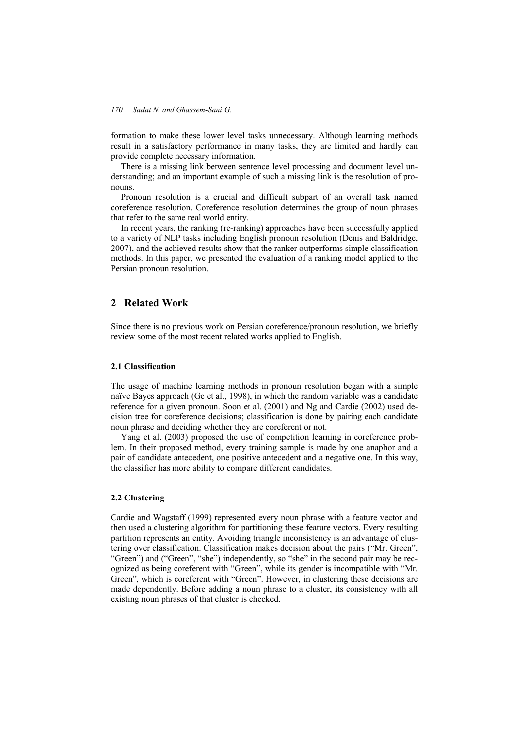formation to make these lower level tasks unnecessary. Although learning methods result in a satisfactory performance in many tasks, they are limited and hardly can provide complete necessary information.

There is a missing link between sentence level processing and document level understanding; and an important example of such a missing link is the resolution of pronouns.

Pronoun resolution is a crucial and difficult subpart of an overall task named coreference resolution. Coreference resolution determines the group of noun phrases that refer to the same real world entity.

In recent years, the ranking (re-ranking) approaches have been successfully applied to a variety of NLP tasks including English pronoun resolution (Denis and Baldridge, 2007), and the achieved results show that the ranker outperforms simple classification methods. In this paper, we presented the evaluation of a ranking model applied to the Persian pronoun resolution.

## **2 Related Work**

Since there is no previous work on Persian coreference/pronoun resolution, we briefly review some of the most recent related works applied to English.

### **2.1 Classification**

The usage of machine learning methods in pronoun resolution began with a simple naïve Bayes approach (Ge et al., 1998), in which the random variable was a candidate reference for a given pronoun. Soon et al. (2001) and Ng and Cardie (2002) used decision tree for coreference decisions; classification is done by pairing each candidate noun phrase and deciding whether they are coreferent or not.

Yang et al. (2003) proposed the use of competition learning in coreference problem. In their proposed method, every training sample is made by one anaphor and a pair of candidate antecedent, one positive antecedent and a negative one. In this way, the classifier has more ability to compare different candidates.

### **2.2 Clustering**

Cardie and Wagstaff (1999) represented every noun phrase with a feature vector and then used a clustering algorithm for partitioning these feature vectors. Every resulting partition represents an entity. Avoiding triangle inconsistency is an advantage of clustering over classification. Classification makes decision about the pairs ("Mr. Green", "Green") and ("Green", "she") independently, so "she" in the second pair may be recognized as being coreferent with "Green", while its gender is incompatible with "Mr. Green", which is coreferent with "Green". However, in clustering these decisions are made dependently. Before adding a noun phrase to a cluster, its consistency with all existing noun phrases of that cluster is checked.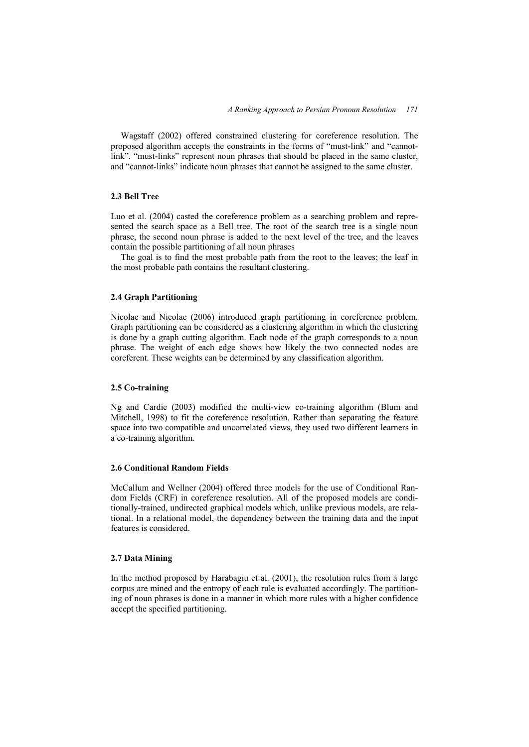Wagstaff (2002) offered constrained clustering for coreference resolution. The proposed algorithm accepts the constraints in the forms of "must-link" and "cannotlink". "must-links" represent noun phrases that should be placed in the same cluster, and "cannot-links" indicate noun phrases that cannot be assigned to the same cluster.

#### **2.3 Bell Tree**

Luo et al. (2004) casted the coreference problem as a searching problem and represented the search space as a Bell tree. The root of the search tree is a single noun phrase, the second noun phrase is added to the next level of the tree, and the leaves contain the possible partitioning of all noun phrases

The goal is to find the most probable path from the root to the leaves; the leaf in the most probable path contains the resultant clustering.

# **2.4 Graph Partitioning**

Nicolae and Nicolae (2006) introduced graph partitioning in coreference problem. Graph partitioning can be considered as a clustering algorithm in which the clustering is done by a graph cutting algorithm. Each node of the graph corresponds to a noun phrase. The weight of each edge shows how likely the two connected nodes are coreferent. These weights can be determined by any classification algorithm.

### **2.5 Co-training**

Ng and Cardie (2003) modified the multi-view co-training algorithm (Blum and Mitchell, 1998) to fit the coreference resolution. Rather than separating the feature space into two compatible and uncorrelated views, they used two different learners in a co-training algorithm.

#### **2.6 Conditional Random Fields**

McCallum and Wellner (2004) offered three models for the use of Conditional Random Fields (CRF) in coreference resolution. All of the proposed models are conditionally-trained, undirected graphical models which, unlike previous models, are relational. In a relational model, the dependency between the training data and the input features is considered.

### **2.7 Data Mining**

In the method proposed by Harabagiu et al. (2001), the resolution rules from a large corpus are mined and the entropy of each rule is evaluated accordingly. The partitioning of noun phrases is done in a manner in which more rules with a higher confidence accept the specified partitioning.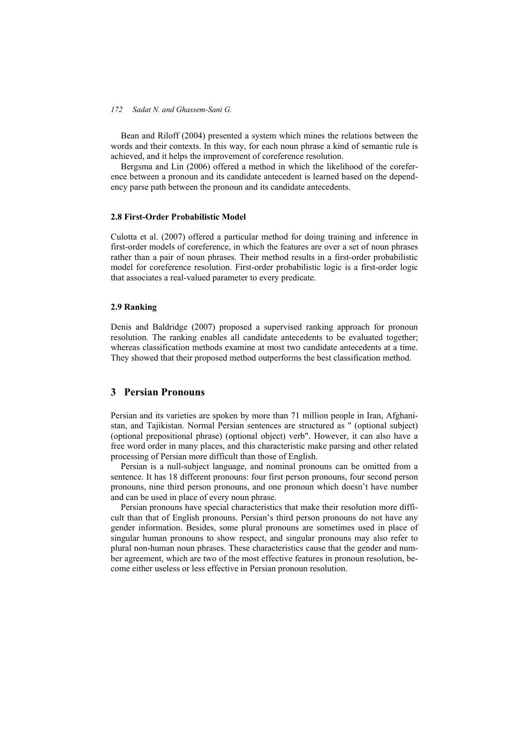Bean and Riloff (2004) presented a system which mines the relations between the words and their contexts. In this way, for each noun phrase a kind of semantic rule is achieved, and it helps the improvement of coreference resolution.

Bergsma and Lin (2006) offered a method in which the likelihood of the coreference between a pronoun and its candidate antecedent is learned based on the dependency parse path between the pronoun and its candidate antecedents.

#### **2.8 First-Order Probabilistic Model**

Culotta et al. (2007) offered a particular method for doing training and inference in first-order models of coreference, in which the features are over a set of noun phrases rather than a pair of noun phrases. Their method results in a first-order probabilistic model for coreference resolution. First-order probabilistic logic is a first-order logic that associates a real-valued parameter to every predicate.

## **2.9 Ranking**

Denis and Baldridge (2007) proposed a supervised ranking approach for pronoun resolution. The ranking enables all candidate antecedents to be evaluated together; whereas classification methods examine at most two candidate antecedents at a time. They showed that their proposed method outperforms the best classification method.

# **3 Persian Pronouns**

Persian and its varieties are spoken by more than 71 million people in Iran, Afghanistan, and Tajikistan. Normal Persian sentences are structured as " (optional subject) (optional prepositional phrase) (optional object) verb". However, it can also have a free word order in many places, and this characteristic make parsing and other related processing of Persian more difficult than those of English.

Persian is a null-subject language, and nominal pronouns can be omitted from a sentence. It has 18 different pronouns: four first person pronouns, four second person pronouns, nine third person pronouns, and one pronoun which doesn't have number and can be used in place of every noun phrase.

Persian pronouns have special characteristics that make their resolution more difficult than that of English pronouns. Persian's third person pronouns do not have any gender information. Besides, some plural pronouns are sometimes used in place of singular human pronouns to show respect, and singular pronouns may also refer to plural non-human noun phrases. These characteristics cause that the gender and number agreement, which are two of the most effective features in pronoun resolution, become either useless or less effective in Persian pronoun resolution.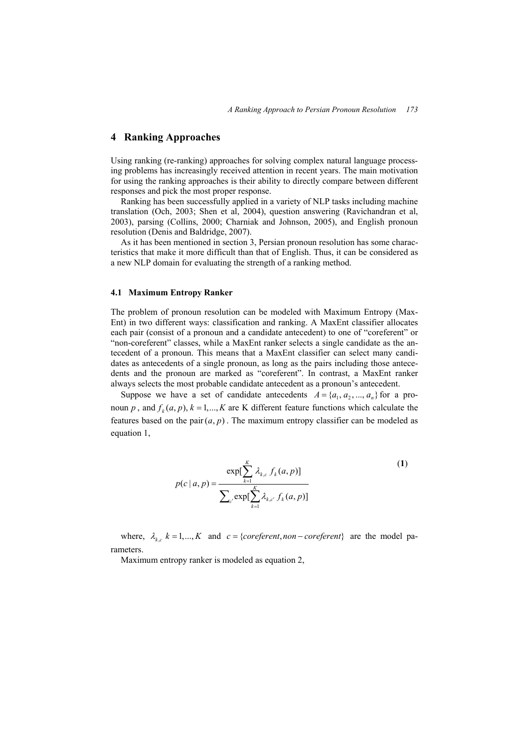## **4 Ranking Approaches**

Using ranking (re-ranking) approaches for solving complex natural language processing problems has increasingly received attention in recent years. The main motivation for using the ranking approaches is their ability to directly compare between different responses and pick the most proper response.

Ranking has been successfully applied in a variety of NLP tasks including machine translation (Och, 2003; Shen et al, 2004), question answering (Ravichandran et al, 2003), parsing (Collins, 2000; Charniak and Johnson, 2005), and English pronoun resolution (Denis and Baldridge, 2007).

As it has been mentioned in section 3, Persian pronoun resolution has some characteristics that make it more difficult than that of English. Thus, it can be considered as a new NLP domain for evaluating the strength of a ranking method.

#### **4.1 Maximum Entropy Ranker**

The problem of pronoun resolution can be modeled with Maximum Entropy (Max-Ent) in two different ways: classification and ranking. A MaxEnt classifier allocates each pair (consist of a pronoun and a candidate antecedent) to one of "coreferent" or "non-coreferent" classes, while a MaxEnt ranker selects a single candidate as the antecedent of a pronoun. This means that a MaxEnt classifier can select many candidates as antecedents of a single pronoun, as long as the pairs including those antecedents and the pronoun are marked as "coreferent". In contrast, a MaxEnt ranker always selects the most probable candidate antecedent as a pronoun's antecedent.

Suppose we have a set of candidate antecedents  $A = \{a_1, a_2, ..., a_n\}$  for a pronoun *p*, and  $f_k(a, p)$ ,  $k = 1, ..., K$  are K different feature functions which calculate the features based on the pair  $(a, p)$ . The maximum entropy classifier can be modeled as equation 1,

$$
p(c \mid a, p) = \frac{\exp[\sum_{k=1}^{K} \lambda_{k,c} f_k(a, p)]}{\sum_{c'} \exp[\sum_{k=1}^{K} \lambda_{k,c'} f_k(a, p)]}
$$
(1)

where,  $\lambda_{k,c}$   $k = 1,..., K$  and  $c = \{coreferent, non-coreferent\}$  are the model parameters.

Maximum entropy ranker is modeled as equation 2,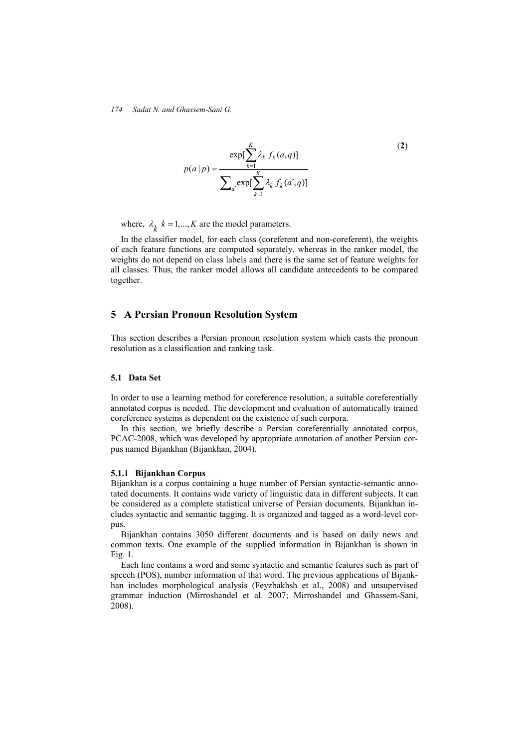$$
p(a|p) = \frac{\exp[\sum_{k=1}^{K} \lambda_k f_k(a,q)]}{\sum_{a'} \exp[\sum_{k=1}^{K} \lambda_k f_k(a',q)]}
$$
 (2)

where,  $\lambda_k$   $k = 1, ..., K$  are the model parameters.

In the classifier model, for each class (coreferent and non-coreferent), the weights of each feature functions are computed separately, whereas in the ranker model, the weights do not depend on class labels and there is the same set of feature weights for all classes. Thus, the ranker model allows all candidate antecedents to be compared together.

# **5 A Persian Pronoun Resolution System**

This section describes a Persian pronoun resolution system which casts the pronoun resolution as a classification and ranking task.

#### **5.1 Data Set**

In order to use a learning method for coreference resolution, a suitable coreferentially annotated corpus is needed. The development and evaluation of automatically trained coreference systems is dependent on the existence of such corpora.

In this section, we briefly describe a Persian coreferentially annotated corpus, PCAC-2008, which was developed by appropriate annotation of another Persian corpus named Bijankhan (Bijankhan, 2004).

#### **5.1.1 Bijankhan Corpus**

Bijankhan is a corpus containing a huge number of Persian syntactic-semantic annotated documents. It contains wide variety of linguistic data in different subjects. It can be considered as a complete statistical universe of Persian documents. Bijankhan includes syntactic and semantic tagging. It is organized and tagged as a word-level corpus.

Bijankhan contains 3050 different documents and is based on daily news and common texts. One example of the supplied information in Bijankhan is shown in Fig. 1.

Each line contains a word and some syntactic and semantic features such as part of speech (POS), number information of that word. The previous applications of Bijankhan includes morphological analysis (Feyzbakhsh et al., 2008) and unsupervised grammar induction (Mirroshandel et al. 2007; Mirroshandel and Ghassem-Sani, 2008).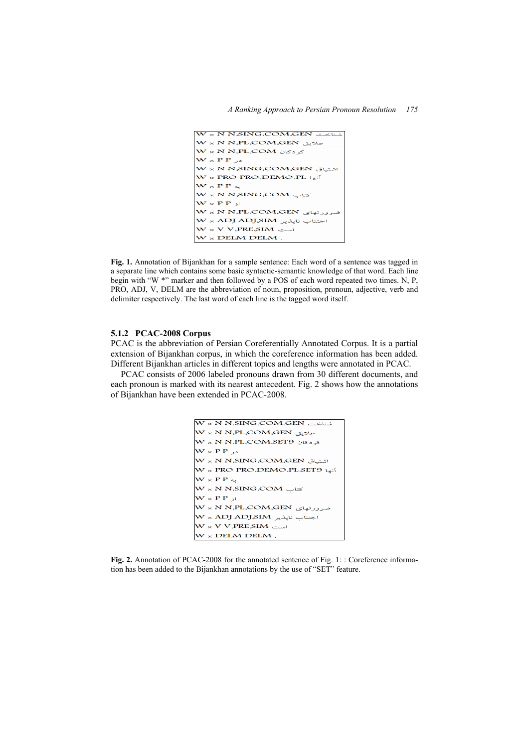

**Fig. 1.** Annotation of Bijankhan for a sample sentence: Each word of a sentence was tagged in a separate line which contains some basic syntactic-semantic knowledge of that word. Each line begin with "W \*" marker and then followed by a POS of each word repeated two times. N, P, PRO, ADJ, V, DELM are the abbreviation of noun, proposition, pronoun, adjective, verb and delimiter respectively. The last word of each line is the tagged word itself.

## **5.1.2 PCAC-2008 Corpus**

PCAC is the abbreviation of Persian Coreferentially Annotated Corpus. It is a partial extension of Bijankhan corpus, in which the coreference information has been added. Different Bijankhan articles in different topics and lengths were annotated in PCAC.

PCAC consists of 2006 labeled pronouns drawn from 30 different documents, and each pronoun is marked with its nearest antecedent. Fig. 2 shows how the annotations of Bijankhan have been extended in PCAC-2008.

```
شناخت W × N N،SING،COM،GEN
علايق W × N N.PL.COM.GEN
\overline{\mathsf{W}}\times\overline{\mathsf{N}} N.PL,COM,SET9 کو دکان
\mathbf{W} \times \mathbf{P} \mathbf{P} در
\mathsf{W}\times \mathsf{N} N.SING،COM،GEN اشتياق
.<br>آنها PRO DEMO PL SET9 N × PRO
W \times P P \simW \times N N,SING,COM کتاب
\mathbf{W} \times \mathbf{P} \mathbf{P} از
ضرورتهای W × N N،PL،COM،GEN
سے W × ADJ ADJ،SIM اجتناب ناپذیر
\boldsymbol{\mathsf{W}}\times\boldsymbol{\mathsf{V}} V, PRE SIM
W \times DELM DELM .
```
**Fig. 2.** Annotation of PCAC-2008 for the annotated sentence of Fig. 1: : Coreference information has been added to the Bijankhan annotations by the use of "SET" feature.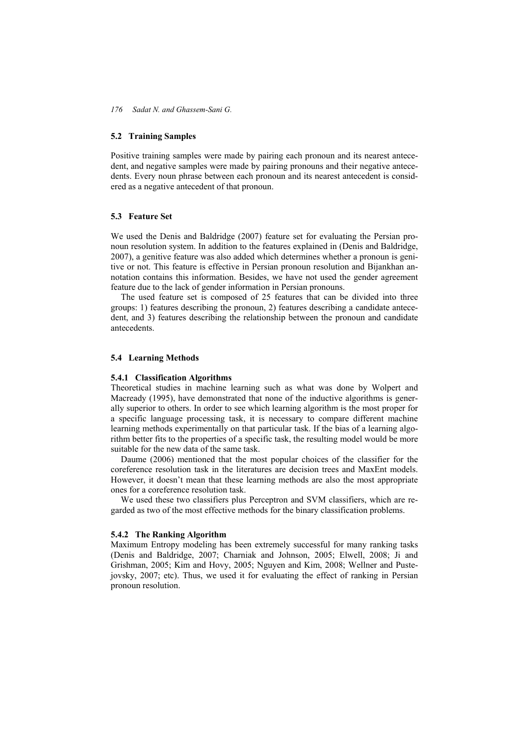#### **5.2 Training Samples**

Positive training samples were made by pairing each pronoun and its nearest antecedent, and negative samples were made by pairing pronouns and their negative antecedents. Every noun phrase between each pronoun and its nearest antecedent is considered as a negative antecedent of that pronoun.

#### **5.3 Feature Set**

We used the Denis and Baldridge (2007) feature set for evaluating the Persian pronoun resolution system. In addition to the features explained in (Denis and Baldridge, 2007), a genitive feature was also added which determines whether a pronoun is genitive or not. This feature is effective in Persian pronoun resolution and Bijankhan annotation contains this information. Besides, we have not used the gender agreement feature due to the lack of gender information in Persian pronouns.

The used feature set is composed of 25 features that can be divided into three groups: 1) features describing the pronoun, 2) features describing a candidate antecedent, and 3) features describing the relationship between the pronoun and candidate antecedents.

### **5.4 Learning Methods**

#### **5.4.1 Classification Algorithms**

Theoretical studies in machine learning such as what was done by Wolpert and Macready (1995), have demonstrated that none of the inductive algorithms is generally superior to others. In order to see which learning algorithm is the most proper for a specific language processing task, it is necessary to compare different machine learning methods experimentally on that particular task. If the bias of a learning algorithm better fits to the properties of a specific task, the resulting model would be more suitable for the new data of the same task.

Daume (2006) mentioned that the most popular choices of the classifier for the coreference resolution task in the literatures are decision trees and MaxEnt models. However, it doesn't mean that these learning methods are also the most appropriate ones for a coreference resolution task.

We used these two classifiers plus Perceptron and SVM classifiers, which are regarded as two of the most effective methods for the binary classification problems.

#### **5.4.2 The Ranking Algorithm**

Maximum Entropy modeling has been extremely successful for many ranking tasks (Denis and Baldridge, 2007; Charniak and Johnson, 2005; Elwell, 2008; Ji and Grishman, 2005; Kim and Hovy, 2005; Nguyen and Kim, 2008; Wellner and Pustejovsky, 2007; etc). Thus, we used it for evaluating the effect of ranking in Persian pronoun resolution.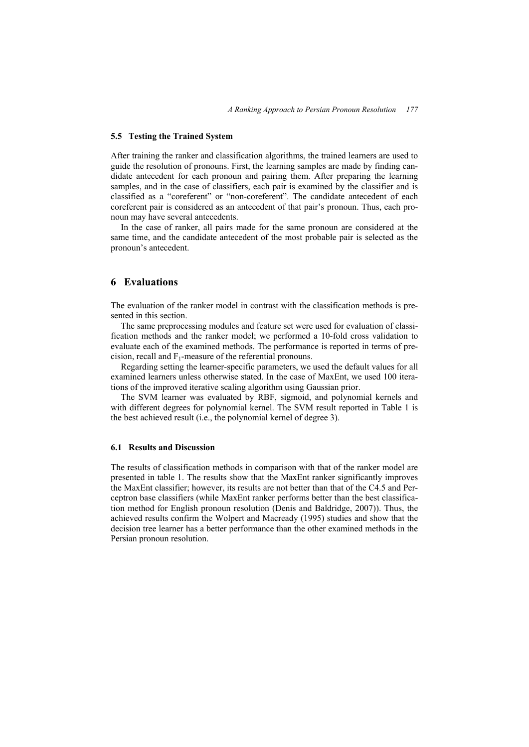#### **5.5 Testing the Trained System**

After training the ranker and classification algorithms, the trained learners are used to guide the resolution of pronouns. First, the learning samples are made by finding candidate antecedent for each pronoun and pairing them. After preparing the learning samples, and in the case of classifiers, each pair is examined by the classifier and is classified as a "coreferent" or "non-coreferent". The candidate antecedent of each coreferent pair is considered as an antecedent of that pair's pronoun. Thus, each pronoun may have several antecedents.

In the case of ranker, all pairs made for the same pronoun are considered at the same time, and the candidate antecedent of the most probable pair is selected as the pronoun's antecedent.

## **6 Evaluations**

The evaluation of the ranker model in contrast with the classification methods is presented in this section.

The same preprocessing modules and feature set were used for evaluation of classification methods and the ranker model; we performed a 10-fold cross validation to evaluate each of the examined methods. The performance is reported in terms of precision, recall and  $F_1$ -measure of the referential pronouns.

Regarding setting the learner-specific parameters, we used the default values for all examined learners unless otherwise stated. In the case of MaxEnt, we used 100 iterations of the improved iterative scaling algorithm using Gaussian prior.

The SVM learner was evaluated by RBF, sigmoid, and polynomial kernels and with different degrees for polynomial kernel. The SVM result reported in Table 1 is the best achieved result (i.e., the polynomial kernel of degree 3).

#### **6.1 Results and Discussion**

The results of classification methods in comparison with that of the ranker model are presented in table 1. The results show that the MaxEnt ranker significantly improves the MaxEnt classifier; however, its results are not better than that of the C4.5 and Perceptron base classifiers (while MaxEnt ranker performs better than the best classification method for English pronoun resolution (Denis and Baldridge, 2007)). Thus, the achieved results confirm the Wolpert and Macready (1995) studies and show that the decision tree learner has a better performance than the other examined methods in the Persian pronoun resolution.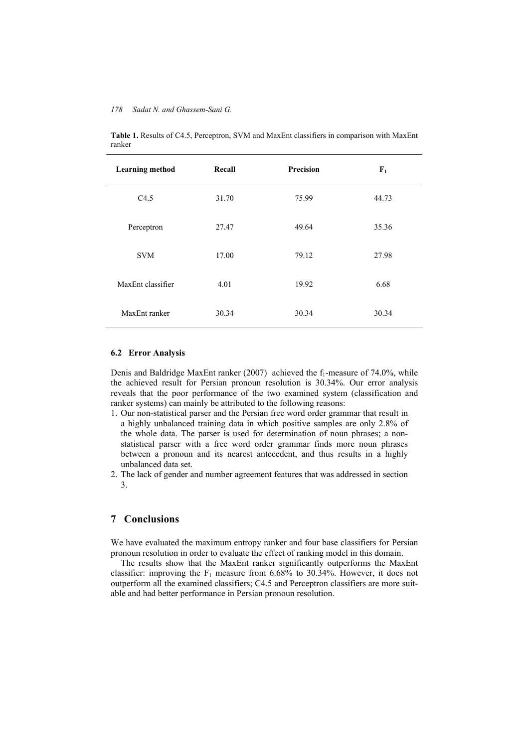| <b>Learning method</b> | Recall | Precision | $F_1$ |
|------------------------|--------|-----------|-------|
| C4.5                   | 31.70  | 75.99     | 44.73 |
| Perceptron             | 27.47  | 49.64     | 35.36 |
| <b>SVM</b>             | 17.00  | 79.12     | 27.98 |
| MaxEnt classifier      | 4.01   | 19.92     | 6.68  |
| MaxEnt ranker          | 30.34  | 30.34     | 30.34 |

**Table 1.** Results of C4.5, Perceptron, SVM and MaxEnt classifiers in comparison with MaxEnt ranker

### **6.2 Error Analysis**

Denis and Baldridge MaxEnt ranker (2007) achieved the  $f_1$ -measure of 74.0%, while the achieved result for Persian pronoun resolution is 30.34%. Our error analysis reveals that the poor performance of the two examined system (classification and ranker systems) can mainly be attributed to the following reasons:

- 1. Our non-statistical parser and the Persian free word order grammar that result in a highly unbalanced training data in which positive samples are only 2.8% of the whole data. The parser is used for determination of noun phrases; a nonstatistical parser with a free word order grammar finds more noun phrases between a pronoun and its nearest antecedent, and thus results in a highly unbalanced data set.
- 2. The lack of gender and number agreement features that was addressed in section 3.

# **7 Conclusions**

We have evaluated the maximum entropy ranker and four base classifiers for Persian pronoun resolution in order to evaluate the effect of ranking model in this domain.

The results show that the MaxEnt ranker significantly outperforms the MaxEnt classifier: improving the  $F_1$  measure from 6.68% to 30.34%. However, it does not outperform all the examined classifiers; C4.5 and Perceptron classifiers are more suitable and had better performance in Persian pronoun resolution.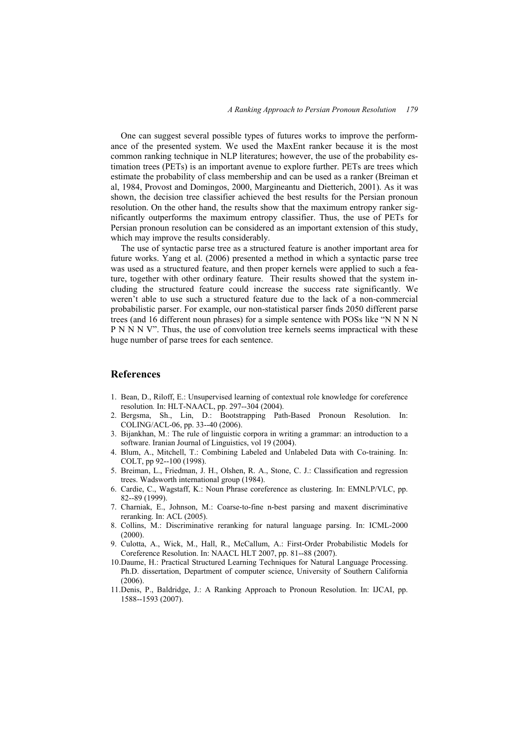One can suggest several possible types of futures works to improve the performance of the presented system. We used the MaxEnt ranker because it is the most common ranking technique in NLP literatures; however, the use of the probability estimation trees (PETs) is an important avenue to explore further. PETs are trees which estimate the probability of class membership and can be used as a ranker (Breiman et al, 1984, Provost and Domingos, 2000, Margineantu and Dietterich, 2001). As it was shown, the decision tree classifier achieved the best results for the Persian pronoun resolution. On the other hand, the results show that the maximum entropy ranker significantly outperforms the maximum entropy classifier. Thus, the use of PETs for Persian pronoun resolution can be considered as an important extension of this study, which may improve the results considerably.

The use of syntactic parse tree as a structured feature is another important area for future works. Yang et al. (2006) presented a method in which a syntactic parse tree was used as a structured feature, and then proper kernels were applied to such a feature, together with other ordinary feature. Their results showed that the system including the structured feature could increase the success rate significantly. We weren't able to use such a structured feature due to the lack of a non-commercial probabilistic parser. For example, our non-statistical parser finds 2050 different parse trees (and 16 different noun phrases) for a simple sentence with POSs like "N N N N P N N N V". Thus, the use of convolution tree kernels seems impractical with these huge number of parse trees for each sentence.

# **References**

- 1. Bean, D., Riloff, E.: Unsupervised learning of contextual role knowledge for coreference resolution*.* In: HLT-NAACL, pp. 297--304 (2004).
- 2. Bergsma, Sh., Lin, D.: Bootstrapping Path-Based Pronoun Resolution. In: COLING/ACL-06, pp. 33--40 (2006).
- 3. Bijankhan, M.: The rule of linguistic corpora in writing a grammar: an introduction to a software. Iranian Journal of Linguistics, vol 19 (2004).
- 4. Blum, A., Mitchell, T.: Combining Labeled and Unlabeled Data with Co-training. In: COLT, pp 92--100 (1998).
- 5. Breiman, L., Friedman, J. H., Olshen, R. A., Stone, C. J.: Classification and regression trees. Wadsworth international group (1984).
- 6. Cardie, C., Wagstaff, K.: Noun Phrase coreference as clustering*.* In: EMNLP/VLC, pp. 82--89 (1999).
- 7. Charniak, E., Johnson, M.: Coarse-to-fine n-best parsing and maxent discriminative reranking. In: ACL (2005).
- 8. Collins, M.: Discriminative reranking for natural language parsing. In: ICML-2000 (2000).
- 9. Culotta, A., Wick, M., Hall, R., McCallum, A.: First-Order Probabilistic Models for Coreference Resolution. In: NAACL HLT 2007, pp. 81--88 (2007).
- 10.Daume, H.: Practical Structured Learning Techniques for Natural Language Processing. Ph.D. dissertation, Department of computer science, University of Southern California (2006).
- 11.Denis, P., Baldridge, J.: A Ranking Approach to Pronoun Resolution. In: IJCAI, pp. 1588--1593 (2007).